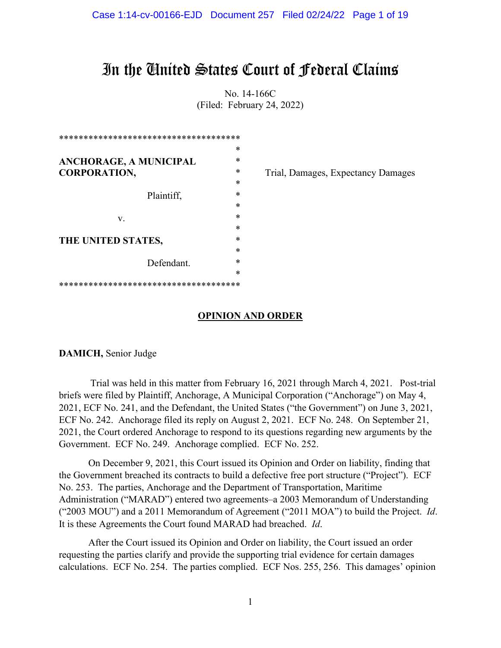# In the United States Court of Federal Claims

No. 14-166C (Filed: February 24, 2022)

| *                           |   |
|-----------------------------|---|
| *<br>ANCHORAGE, A MUNICIPAL |   |
| <b>CORPORATION,</b>         | * |
| *                           |   |
| Plaintiff.                  | * |
| *                           |   |
| *<br>V.                     |   |
| *                           |   |
| *<br>THE UNITED STATES,     |   |
| Defendant.                  | * |
|                             | * |
|                             | * |
|                             |   |

Trial, Damages, Expectancy Damages

# **OPINION AND ORDER**

**DAMICH,** Senior Judge

Trial was held in this matter from February 16, 2021 through March 4, 2021. Post-trial briefs were filed by Plaintiff, Anchorage, A Municipal Corporation ("Anchorage") on May 4, 2021, ECF No. 241, and the Defendant, the United States ("the Government") on June 3, 2021, ECF No. 242. Anchorage filed its reply on August 2, 2021. ECF No. 248. On September 21, 2021, the Court ordered Anchorage to respond to its questions regarding new arguments by the Government. ECF No. 249. Anchorage complied. ECF No. 252.

On December 9, 2021, this Court issued its Opinion and Order on liability, finding that the Government breached its contracts to build a defective free port structure ("Project"). ECF No. 253. The parties, Anchorage and the Department of Transportation, Maritime Administration ("MARAD") entered two agreements–a 2003 Memorandum of Understanding ("2003 MOU") and a 2011 Memorandum of Agreement ("2011 MOA") to build the Project. *Id*. It is these Agreements the Court found MARAD had breached. *Id*.

After the Court issued its Opinion and Order on liability, the Court issued an order requesting the parties clarify and provide the supporting trial evidence for certain damages calculations. ECF No. 254. The parties complied. ECF Nos. 255, 256. This damages' opinion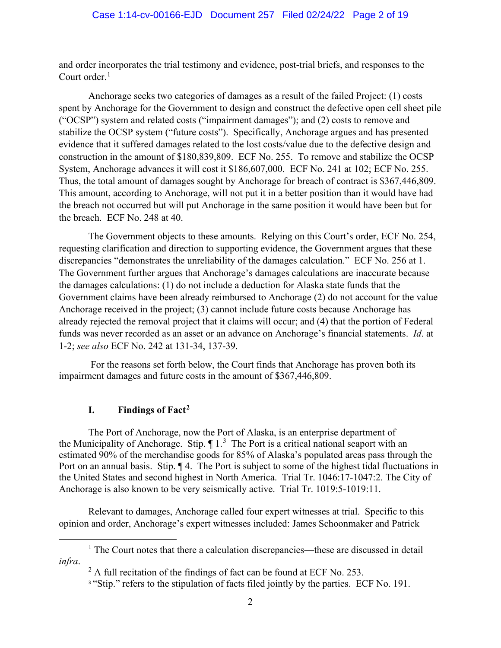and order incorporates the trial testimony and evidence, post-trial briefs, and responses to the Court order.<sup>[1](#page-1-0)</sup>

Anchorage seeks two categories of damages as a result of the failed Project: (1) costs spent by Anchorage for the Government to design and construct the defective open cell sheet pile ("OCSP") system and related costs ("impairment damages"); and (2) costs to remove and stabilize the OCSP system ("future costs"). Specifically, Anchorage argues and has presented evidence that it suffered damages related to the lost costs/value due to the defective design and construction in the amount of \$180,839,809. ECF No. 255. To remove and stabilize the OCSP System, Anchorage advances it will cost it \$186,607,000. ECF No. 241 at 102; ECF No. 255. Thus, the total amount of damages sought by Anchorage for breach of contract is \$367,446,809. This amount, according to Anchorage, will not put it in a better position than it would have had the breach not occurred but will put Anchorage in the same position it would have been but for the breach. ECF No. 248 at 40.

The Government objects to these amounts. Relying on this Court's order, ECF No. 254, requesting clarification and direction to supporting evidence, the Government argues that these discrepancies "demonstrates the unreliability of the damages calculation." ECF No. 256 at 1. The Government further argues that Anchorage's damages calculations are inaccurate because the damages calculations: (1) do not include a deduction for Alaska state funds that the Government claims have been already reimbursed to Anchorage (2) do not account for the value Anchorage received in the project; (3) cannot include future costs because Anchorage has already rejected the removal project that it claims will occur; and (4) that the portion of Federal funds was never recorded as an asset or an advance on Anchorage's financial statements. *Id*. at 1-2; *see also* ECF No. 242 at 131-34, 137-39.

For the reasons set forth below, the Court finds that Anchorage has proven both its impairment damages and future costs in the amount of \$367,446,809.

## **I. Findings of Fact[2](#page-1-1)**

The Port of Anchorage, now the Port of Alaska, is an enterprise department of the Municipality of Anchorage. Stip.  $\P$ 1.<sup>[3](#page-1-2)</sup> The Port is a critical national seaport with an estimated 90% of the merchandise goods for 85% of Alaska's populated areas pass through the Port on an annual basis. Stip.  $\P$  4. The Port is subject to some of the highest tidal fluctuations in the United States and second highest in North America. Trial Tr. 1046:17-1047:2. The City of Anchorage is also known to be very seismically active. Trial Tr. 1019:5-1019:11.

Relevant to damages, Anchorage called four expert witnesses at trial. Specific to this opinion and order, Anchorage's expert witnesses included: James Schoonmaker and Patrick

<span id="page-1-2"></span><span id="page-1-1"></span><span id="page-1-0"></span> $<sup>1</sup>$  The Court notes that there a calculation discrepancies—these are discussed in detail</sup> *infra*.

 $2 \text{ A full recitation of the findings of fact can be found at ECF No. } 253.$ 

<sup>&</sup>lt;sup>3</sup> "Stip." refers to the stipulation of facts filed jointly by the parties. ECF No. 191.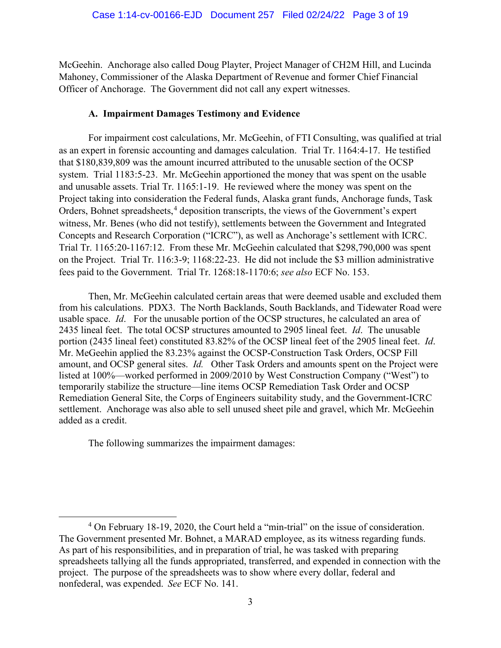McGeehin. Anchorage also called Doug Playter, Project Manager of CH2M Hill, and Lucinda Mahoney, Commissioner of the Alaska Department of Revenue and former Chief Financial Officer of Anchorage. The Government did not call any expert witnesses.

## **A. Impairment Damages Testimony and Evidence**

For impairment cost calculations, Mr. McGeehin, of FTI Consulting, was qualified at trial as an expert in forensic accounting and damages calculation. Trial Tr. 1164:4-17. He testified that \$180,839,809 was the amount incurred attributed to the unusable section of the OCSP system. Trial 1183:5-23. Mr. McGeehin apportioned the money that was spent on the usable and unusable assets. Trial Tr. 1165:1-19. He reviewed where the money was spent on the Project taking into consideration the Federal funds, Alaska grant funds, Anchorage funds, Task Orders, Bohnet spreadsheets, [4](#page-2-0) deposition transcripts, the views of the Government's expert witness, Mr. Benes (who did not testify), settlements between the Government and Integrated Concepts and Research Corporation ("ICRC"), as well as Anchorage's settlement with ICRC. Trial Tr. 1165:20-1167:12. From these Mr. McGeehin calculated that \$298,790,000 was spent on the Project. Trial Tr. 116:3-9; 1168:22-23. He did not include the \$3 million administrative fees paid to the Government. Trial Tr. 1268:18-1170:6; *see also* ECF No. 153.

Then, Mr. McGeehin calculated certain areas that were deemed usable and excluded them from his calculations. PDX3. The North Backlands, South Backlands, and Tidewater Road were usable space. *Id*. For the unusable portion of the OCSP structures, he calculated an area of 2435 lineal feet. The total OCSP structures amounted to 2905 lineal feet. *Id*. The unusable portion (2435 lineal feet) constituted 83.82% of the OCSP lineal feet of the 2905 lineal feet. *Id*. Mr. MeGeehin applied the 83.23% against the OCSP-Construction Task Orders, OCSP Fill amount, and OCSP general sites. *Id.* Other Task Orders and amounts spent on the Project were listed at 100%—worked performed in 2009/2010 by West Construction Company ("West") to temporarily stabilize the structure—line items OCSP Remediation Task Order and OCSP Remediation General Site, the Corps of Engineers suitability study, and the Government-ICRC settlement. Anchorage was also able to sell unused sheet pile and gravel, which Mr. McGeehin added as a credit.

The following summarizes the impairment damages:

<span id="page-2-0"></span><sup>4</sup> On February 18-19, 2020, the Court held a "min-trial" on the issue of consideration. The Government presented Mr. Bohnet, a MARAD employee, as its witness regarding funds. As part of his responsibilities, and in preparation of trial, he was tasked with preparing spreadsheets tallying all the funds appropriated, transferred, and expended in connection with the project. The purpose of the spreadsheets was to show where every dollar, federal and nonfederal, was expended. *See* ECF No. 141.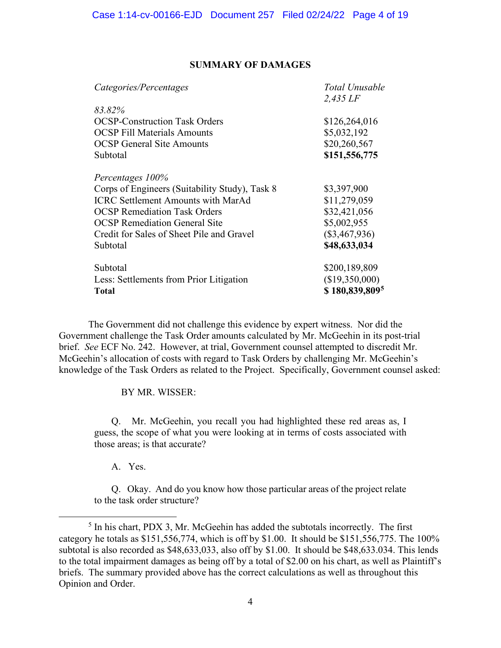#### **SUMMARY OF DAMAGES**

| Categories/Percentages                         | Total Unusable  |  |
|------------------------------------------------|-----------------|--|
|                                                | $2,435$ LF      |  |
| 83.82%                                         |                 |  |
| <b>OCSP-Construction Task Orders</b>           | \$126,264,016   |  |
| <b>OCSP</b> Fill Materials Amounts             | \$5,032,192     |  |
| <b>OCSP</b> General Site Amounts               | \$20,260,567    |  |
| Subtotal                                       | \$151,556,775   |  |
| Percentages 100%                               |                 |  |
| Corps of Engineers (Suitability Study), Task 8 | \$3,397,900     |  |
| <b>ICRC Settlement Amounts with MarAd</b>      | \$11,279,059    |  |
| <b>OCSP Remediation Task Orders</b>            | \$32,421,056    |  |
| <b>OCSP</b> Remediation General Site           | \$5,002,955     |  |
| Credit for Sales of Sheet Pile and Gravel      | $(\$3,467,936)$ |  |
| Subtotal                                       | \$48,633,034    |  |
| Subtotal                                       | \$200,189,809   |  |
| Less: Settlements from Prior Litigation        | (\$19,350,000)  |  |
| <b>Total</b>                                   | \$180,839,8095  |  |

The Government did not challenge this evidence by expert witness. Nor did the Government challenge the Task Order amounts calculated by Mr. McGeehin in its post-trial brief. *See* ECF No. 242. However, at trial, Government counsel attempted to discredit Mr. McGeehin's allocation of costs with regard to Task Orders by challenging Mr. McGeehin's knowledge of the Task Orders as related to the Project. Specifically, Government counsel asked:

BY MR. WISSER:

 Q. Mr. McGeehin, you recall you had highlighted these red areas as, I guess, the scope of what you were looking at in terms of costs associated with those areas; is that accurate?

A. Yes.

 Q. Okay. And do you know how those particular areas of the project relate to the task order structure?

<span id="page-3-0"></span> $<sup>5</sup>$  In his chart, PDX 3, Mr. McGeehin has added the subtotals incorrectly. The first</sup> category he totals as \$151,556,774, which is off by \$1.00. It should be \$151,556,775. The 100% subtotal is also recorded as \$48,633,033, also off by \$1.00. It should be \$48,633.034. This lends to the total impairment damages as being off by a total of \$2.00 on his chart, as well as Plaintiff's briefs. The summary provided above has the correct calculations as well as throughout this Opinion and Order.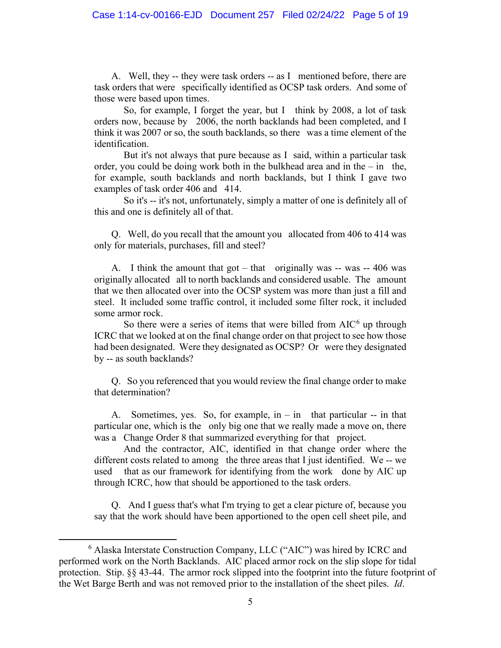A. Well, they -- they were task orders -- as I mentioned before, there are task orders that were specifically identified as OCSP task orders. And some of those were based upon times.

 So, for example, I forget the year, but I think by 2008, a lot of task orders now, because by 2006, the north backlands had been completed, and I think it was 2007 or so, the south backlands, so there was a time element of the identification.

 But it's not always that pure because as I said, within a particular task order, you could be doing work both in the bulkhead area and in the – in the, for example, south backlands and north backlands, but I think I gave two examples of task order 406 and 414.

 So it's -- it's not, unfortunately, simply a matter of one is definitely all of this and one is definitely all of that.

 Q. Well, do you recall that the amount you allocated from 406 to 414 was only for materials, purchases, fill and steel?

 A. I think the amount that got – that originally was -- was -- 406 was originally allocated all to north backlands and considered usable. The amount that we then allocated over into the OCSP system was more than just a fill and steel. It included some traffic control, it included some filter rock, it included some armor rock.

So there were a series of items that were billed from  $AIC<sup>6</sup>$  $AIC<sup>6</sup>$  $AIC<sup>6</sup>$  up through ICRC that we looked at on the final change order on that project to see how those had been designated. Were they designated as OCSP? Or were they designated by -- as south backlands?

 Q. So you referenced that you would review the final change order to make that determination?

A. Sometimes, yes. So, for example,  $in - in$  that particular -- in that particular one, which is the only big one that we really made a move on, there was a Change Order 8 that summarized everything for that project.

 And the contractor, AIC, identified in that change order where the different costs related to among the three areas that I just identified. We -- we used that as our framework for identifying from the work done by AIC up through ICRC, how that should be apportioned to the task orders.

 Q. And I guess that's what I'm trying to get a clear picture of, because you say that the work should have been apportioned to the open cell sheet pile, and

<span id="page-4-0"></span><sup>6</sup> Alaska Interstate Construction Company, LLC ("AIC") was hired by ICRC and performed work on the North Backlands. AIC placed armor rock on the slip slope for tidal protection. Stip. §§ 43-44. The armor rock slipped into the footprint into the future footprint of the Wet Barge Berth and was not removed prior to the installation of the sheet piles. *Id*.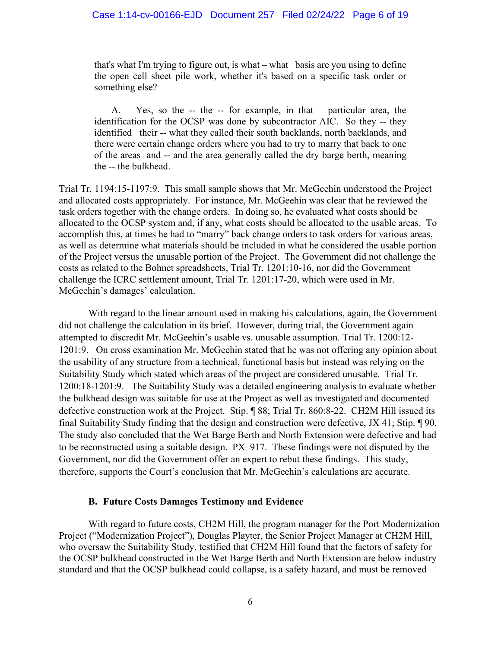that's what I'm trying to figure out, is what – what basis are you using to define the open cell sheet pile work, whether it's based on a specific task order or something else?

 A. Yes, so the -- the -- for example, in that particular area, the identification for the OCSP was done by subcontractor AIC. So they -- they identified their -- what they called their south backlands, north backlands, and there were certain change orders where you had to try to marry that back to one of the areas and -- and the area generally called the dry barge berth, meaning the -- the bulkhead.

Trial Tr. 1194:15-1197:9. This small sample shows that Mr. McGeehin understood the Project and allocated costs appropriately. For instance, Mr. McGeehin was clear that he reviewed the task orders together with the change orders. In doing so, he evaluated what costs should be allocated to the OCSP system and, if any, what costs should be allocated to the usable areas. To accomplish this, at times he had to "marry" back change orders to task orders for various areas, as well as determine what materials should be included in what he considered the usable portion of the Project versus the unusable portion of the Project. The Government did not challenge the costs as related to the Bohnet spreadsheets, Trial Tr. 1201:10-16, nor did the Government challenge the ICRC settlement amount, Trial Tr. 1201:17-20, which were used in Mr. McGeehin's damages' calculation.

With regard to the linear amount used in making his calculations, again, the Government did not challenge the calculation in its brief. However, during trial, the Government again attempted to discredit Mr. McGeehin's usable vs. unusable assumption. Trial Tr. 1200:12- 1201:9. On cross examination Mr. McGeehin stated that he was not offering any opinion about the usability of any structure from a technical, functional basis but instead was relying on the Suitability Study which stated which areas of the project are considered unusable. Trial Tr. 1200:18-1201:9. The Suitability Study was a detailed engineering analysis to evaluate whether the bulkhead design was suitable for use at the Project as well as investigated and documented defective construction work at the Project. Stip. ¶ 88; Trial Tr. 860:8-22. CH2M Hill issued its final Suitability Study finding that the design and construction were defective, JX 41; Stip. ¶ 90. The study also concluded that the Wet Barge Berth and North Extension were defective and had to be reconstructed using a suitable design. PX 917. These findings were not disputed by the Government, nor did the Government offer an expert to rebut these findings. This study, therefore, supports the Court's conclusion that Mr. McGeehin's calculations are accurate.

## **B. Future Costs Damages Testimony and Evidence**

With regard to future costs, CH2M Hill, the program manager for the Port Modernization Project ("Modernization Project"), Douglas Playter, the Senior Project Manager at CH2M Hill, who oversaw the Suitability Study, testified that CH2M Hill found that the factors of safety for the OCSP bulkhead constructed in the Wet Barge Berth and North Extension are below industry standard and that the OCSP bulkhead could collapse, is a safety hazard, and must be removed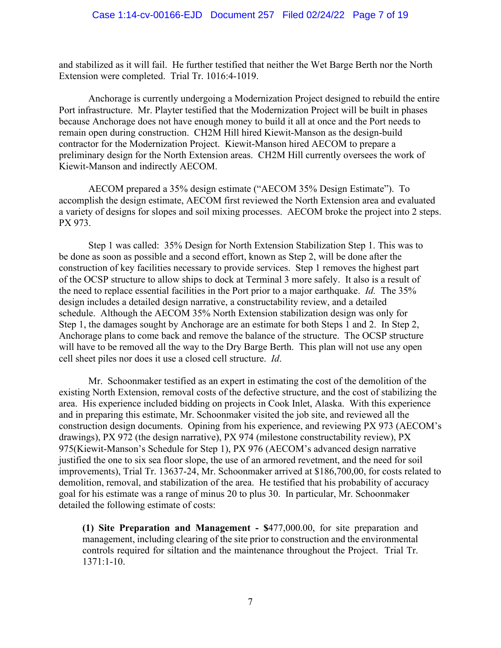and stabilized as it will fail. He further testified that neither the Wet Barge Berth nor the North Extension were completed. Trial Tr. 1016:4-1019.

Anchorage is currently undergoing a Modernization Project designed to rebuild the entire Port infrastructure. Mr. Playter testified that the Modernization Project will be built in phases because Anchorage does not have enough money to build it all at once and the Port needs to remain open during construction. CH2M Hill hired Kiewit-Manson as the design-build contractor for the Modernization Project. Kiewit-Manson hired AECOM to prepare a preliminary design for the North Extension areas. CH2M Hill currently oversees the work of Kiewit-Manson and indirectly AECOM.

AECOM prepared a 35% design estimate ("AECOM 35% Design Estimate"). To accomplish the design estimate, AECOM first reviewed the North Extension area and evaluated a variety of designs for slopes and soil mixing processes. AECOM broke the project into 2 steps. PX 973.

Step 1 was called: 35% Design for North Extension Stabilization Step 1. This was to be done as soon as possible and a second effort, known as Step 2, will be done after the construction of key facilities necessary to provide services. Step 1 removes the highest part of the OCSP structure to allow ships to dock at Terminal 3 more safely. It also is a result of the need to replace essential facilities in the Port prior to a major earthquake. *Id.* The 35% design includes a detailed design narrative, a constructability review, and a detailed schedule. Although the AECOM 35% North Extension stabilization design was only for Step 1, the damages sought by Anchorage are an estimate for both Steps 1 and 2. In Step 2, Anchorage plans to come back and remove the balance of the structure. The OCSP structure will have to be removed all the way to the Dry Barge Berth. This plan will not use any open cell sheet piles nor does it use a closed cell structure. *Id*.

Mr. Schoonmaker testified as an expert in estimating the cost of the demolition of the existing North Extension, removal costs of the defective structure, and the cost of stabilizing the area. His experience included bidding on projects in Cook Inlet, Alaska. With this experience and in preparing this estimate, Mr. Schoonmaker visited the job site, and reviewed all the construction design documents. Opining from his experience, and reviewing PX 973 (AECOM's drawings), PX 972 (the design narrative), PX 974 (milestone constructability review), PX 975(Kiewit-Manson's Schedule for Step 1), PX 976 (AECOM's advanced design narrative justified the one to six sea floor slope, the use of an armored revetment, and the need for soil improvements), Trial Tr. 13637-24, Mr. Schoonmaker arrived at \$186,700,00, for costs related to demolition, removal, and stabilization of the area. He testified that his probability of accuracy goal for his estimate was a range of minus 20 to plus 30. In particular, Mr. Schoonmaker detailed the following estimate of costs:

**(1) Site Preparation and Management - \$**477,000.00, for site preparation and management, including clearing of the site prior to construction and the environmental controls required for siltation and the maintenance throughout the Project. Trial Tr. 1371:1-10.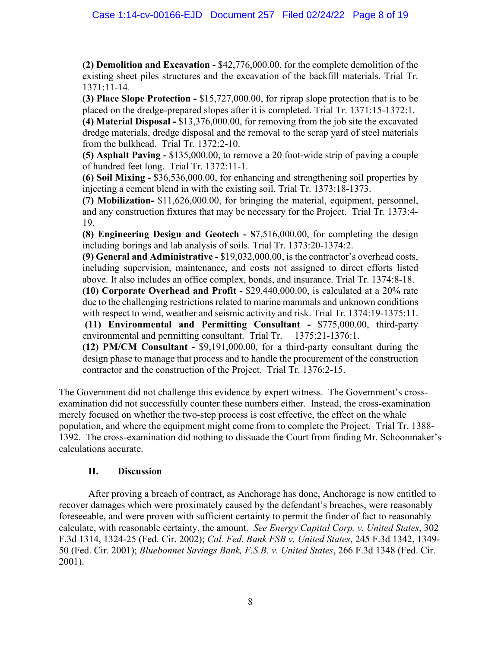**(2) Demolition and Excavation -** \$42,776,000.00, for the complete demolition of the existing sheet piles structures and the excavation of the backfill materials. Trial Tr. 1371:11-14.

**(3) Place Slope Protection -** \$15,727,000.00, for riprap slope protection that is to be placed on the dredge-prepared slopes after it is completed. Trial Tr. 1371:15-1372:1.

**(4) Material Disposal -** \$13,376,000.00, for removing from the job site the excavated dredge materials, dredge disposal and the removal to the scrap yard of steel materials from the bulkhead. Trial Tr. 1372:2-10.

**(5) Asphalt Paving -** \$135,000.00, to remove a 20 foot-wide strip of paving a couple of hundred feet long. Trial Tr. 1372:11-1.

**(6) Soil Mixing -** \$36,536,000.00, for enhancing and strengthening soil properties by injecting a cement blend in with the existing soil. Trial Tr. 1373:18-1373.

**(7) Mobilization-** \$11,626,000.00, for bringing the material, equipment, personnel, and any construction fixtures that may be necessary for the Project. Trial Tr. 1373:4- 19.

**(8) Engineering Design and Geotech - \$**7,516,000.00, for completing the design including borings and lab analysis of soils. Trial Tr. 1373:20-1374:2.

**(9) General and Administrative -** \$19,032,000.00, is the contractor's overhead costs, including supervision, maintenance, and costs not assigned to direct efforts listed above. It also includes an office complex, bonds, and insurance. Trial Tr. 1374:8-18.

**(10) Corporate Overhead and Profit -** \$29,440,000.00, is calculated at a 20% rate due to the challenging restrictions related to marine mammals and unknown conditions with respect to wind, weather and seismic activity and risk. Trial Tr. 1374:19-1375:11.

**(11) Environmental and Permitting Consultant -** \$775,000.00, third-party environmental and permitting consultant. Trial Tr. 1375:21-1376:1.

**(12) PM/CM Consultant -** \$9,191,000.00, for a third-party consultant during the design phase to manage that process and to handle the procurement of the construction contractor and the construction of the Project. Trial Tr. 1376:2-15.

The Government did not challenge this evidence by expert witness. The Government's crossexamination did not successfully counter these numbers either. Instead, the cross-examination merely focused on whether the two-step process is cost effective, the effect on the whale population, and where the equipment might come from to complete the Project. Trial Tr. 1388- 1392. The cross-examination did nothing to dissuade the Court from finding Mr. Schoonmaker's calculations accurate.

# **II. Discussion**

After proving a breach of contract, as Anchorage has done, Anchorage is now entitled to recover damages which were proximately caused by the defendant's breaches, were reasonably foreseeable, and were proven with sufficient certainty to permit the finder of fact to reasonably calculate, with reasonable certainty, the amount. *See Energy Capital Corp. v. United States*, 302 F.3d 1314, 1324-25 (Fed. Cir. 2002); *Cal. Fed. Bank FSB v. United States*, 245 F.3d 1342, 1349- 50 (Fed. Cir. 2001); *Bluebonnet Savings Bank, F.S.B. v. United States*, 266 F.3d 1348 (Fed. Cir. 2001).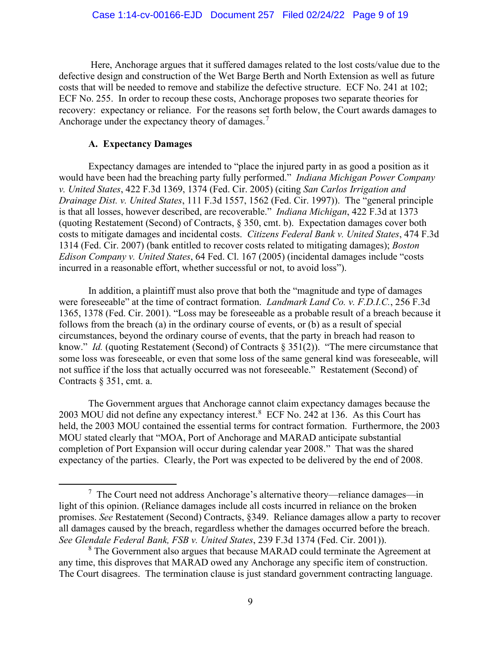Here, Anchorage argues that it suffered damages related to the lost costs/value due to the defective design and construction of the Wet Barge Berth and North Extension as well as future costs that will be needed to remove and stabilize the defective structure. ECF No. 241 at 102; ECF No. 255. In order to recoup these costs, Anchorage proposes two separate theories for recovery: expectancy or reliance. For the reasons set forth below, the Court awards damages to Anchorage under the expectancy theory of damages. $7$ 

## **A. Expectancy Damages**

Expectancy damages are intended to "place the injured party in as good a position as it would have been had the breaching party fully performed." *Indiana Michigan Power Company v. United States*, 422 F.3d 1369, 1374 (Fed. Cir. 2005) (citing *San Carlos Irrigation and Drainage Dist. v. United States*, 111 F.3d 1557, 1562 (Fed. Cir. 1997)). The "general principle is that all losses, however described, are recoverable." *Indiana Michigan*, 422 F.3d at 1373 (quoting Restatement (Second) of Contracts, § 350, cmt. b). Expectation damages cover both costs to mitigate damages and incidental costs. *Citizens Federal Bank v. United States*, 474 F.3d 1314 (Fed. Cir. 2007) (bank entitled to recover costs related to mitigating damages); *Boston Edison Company v. United States*, 64 Fed. Cl. 167 (2005) (incidental damages include "costs incurred in a reasonable effort, whether successful or not, to avoid loss").

In addition, a plaintiff must also prove that both the "magnitude and type of damages were foreseeable" at the time of contract formation. *Landmark Land Co. v. F.D.I.C.*, 256 F.3d 1365, 1378 (Fed. Cir. 2001). "Loss may be foreseeable as a probable result of a breach because it follows from the breach (a) in the ordinary course of events, or (b) as a result of special circumstances, beyond the ordinary course of events, that the party in breach had reason to know." *Id.* (quoting Restatement (Second) of Contracts § 351(2)). "The mere circumstance that some loss was foreseeable, or even that some loss of the same general kind was foreseeable, will not suffice if the loss that actually occurred was not foreseeable." Restatement (Second) of Contracts § 351, cmt. a.

The Government argues that Anchorage cannot claim expectancy damages because the 2003 MOU did not define any expectancy interest.<sup>[8](#page-8-1)</sup> ECF No. 242 at 136. As this Court has held, the 2003 MOU contained the essential terms for contract formation. Furthermore, the 2003 MOU stated clearly that "MOA, Port of Anchorage and MARAD anticipate substantial completion of Port Expansion will occur during calendar year 2008." That was the shared expectancy of the parties. Clearly, the Port was expected to be delivered by the end of 2008.

<span id="page-8-0"></span> $7$  The Court need not address Anchorage's alternative theory—reliance damages—in light of this opinion. (Reliance damages include all costs incurred in reliance on the broken promises. *See* Restatement (Second) Contracts, §349. Reliance damages allow a party to recover all damages caused by the breach, regardless whether the damages occurred before the breach. *See Glendale Federal Bank, FSB v. United States*, 239 F.3d 1374 (Fed. Cir. 2001)).

<span id="page-8-1"></span><sup>&</sup>lt;sup>8</sup> The Government also argues that because MARAD could terminate the Agreement at any time, this disproves that MARAD owed any Anchorage any specific item of construction. The Court disagrees. The termination clause is just standard government contracting language.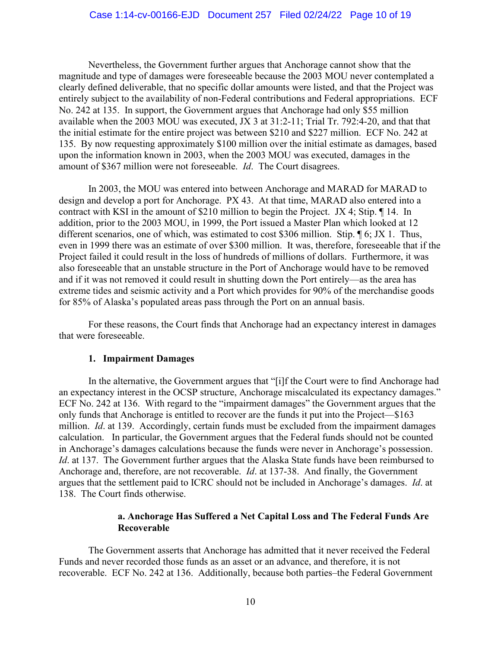Nevertheless, the Government further argues that Anchorage cannot show that the magnitude and type of damages were foreseeable because the 2003 MOU never contemplated a clearly defined deliverable, that no specific dollar amounts were listed, and that the Project was entirely subject to the availability of non-Federal contributions and Federal appropriations. ECF No. 242 at 135. In support, the Government argues that Anchorage had only \$55 million available when the 2003 MOU was executed, JX 3 at 31:2-11; Trial Tr. 792:4-20, and that that the initial estimate for the entire project was between \$210 and \$227 million. ECF No. 242 at 135. By now requesting approximately \$100 million over the initial estimate as damages, based upon the information known in 2003, when the 2003 MOU was executed, damages in the amount of \$367 million were not foreseeable. *Id*. The Court disagrees.

In 2003, the MOU was entered into between Anchorage and MARAD for MARAD to design and develop a port for Anchorage. PX 43. At that time, MARAD also entered into a contract with KSI in the amount of \$210 million to begin the Project. JX 4; Stip. ¶ 14. In addition, prior to the 2003 MOU, in 1999, the Port issued a Master Plan which looked at 12 different scenarios, one of which, was estimated to cost \$306 million. Stip. ¶ 6; JX 1. Thus, even in 1999 there was an estimate of over \$300 million. It was, therefore, foreseeable that if the Project failed it could result in the loss of hundreds of millions of dollars. Furthermore, it was also foreseeable that an unstable structure in the Port of Anchorage would have to be removed and if it was not removed it could result in shutting down the Port entirely—as the area has extreme tides and seismic activity and a Port which provides for 90% of the merchandise goods for 85% of Alaska's populated areas pass through the Port on an annual basis.

For these reasons, the Court finds that Anchorage had an expectancy interest in damages that were foreseeable.

#### **1. Impairment Damages**

In the alternative, the Government argues that "[i]f the Court were to find Anchorage had an expectancy interest in the OCSP structure, Anchorage miscalculated its expectancy damages." ECF No. 242 at 136. With regard to the "impairment damages" the Government argues that the only funds that Anchorage is entitled to recover are the funds it put into the Project—\$163 million. *Id*. at 139. Accordingly, certain funds must be excluded from the impairment damages calculation. In particular, the Government argues that the Federal funds should not be counted in Anchorage's damages calculations because the funds were never in Anchorage's possession. *Id.* at 137. The Government further argues that the Alaska State funds have been reimbursed to Anchorage and, therefore, are not recoverable. *Id*. at 137-38. And finally, the Government argues that the settlement paid to ICRC should not be included in Anchorage's damages. *Id*. at 138. The Court finds otherwise.

## **a. Anchorage Has Suffered a Net Capital Loss and The Federal Funds Are Recoverable**

The Government asserts that Anchorage has admitted that it never received the Federal Funds and never recorded those funds as an asset or an advance, and therefore, it is not recoverable. ECF No. 242 at 136. Additionally, because both parties–the Federal Government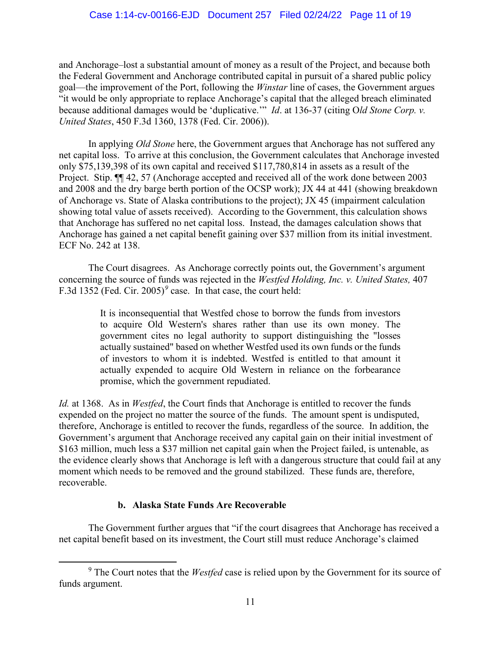and Anchorage–lost a substantial amount of money as a result of the Project, and because both the Federal Government and Anchorage contributed capital in pursuit of a shared public policy goal—the improvement of the Port, following the *Winstar* line of cases, the Government argues "it would be only appropriate to replace Anchorage's capital that the alleged breach eliminated because additional damages would be 'duplicative.'" *Id*. at 136-37 (citing O*ld Stone Corp. v. United States*, 450 F.3d 1360, 1378 (Fed. Cir. 2006)).

In applying *Old Stone* here, the Government argues that Anchorage has not suffered any net capital loss. To arrive at this conclusion, the Government calculates that Anchorage invested only \$75,139,398 of its own capital and received \$117,780,814 in assets as a result of the Project. Stip. ¶¶ 42, 57 (Anchorage accepted and received all of the work done between 2003 and 2008 and the dry barge berth portion of the OCSP work); JX 44 at 441 (showing breakdown of Anchorage vs. State of Alaska contributions to the project); JX 45 (impairment calculation showing total value of assets received). According to the Government, this calculation shows that Anchorage has suffered no net capital loss. Instead, the damages calculation shows that Anchorage has gained a net capital benefit gaining over \$37 million from its initial investment. ECF No. 242 at 138.

The Court disagrees. As Anchorage correctly points out, the Government's argument concerning the source of funds was rejected in the *Westfed Holding, Inc. v. United States,* 407 F.3d 1352 (Fed. Cir. 2005)*[9](#page-10-0)* case. In that case, the court held:

> It is inconsequential that Westfed chose to borrow the funds from investors to acquire Old Western's shares rather than use its own money. The government cites no legal authority to support distinguishing the "losses actually sustained" based on whether Westfed used its own funds or the funds of investors to whom it is indebted. Westfed is entitled to that amount it actually expended to acquire Old Western in reliance on the forbearance promise, which the government repudiated.

*Id.* at 1368. As in *Westfed*, the Court finds that Anchorage is entitled to recover the funds expended on the project no matter the source of the funds. The amount spent is undisputed, therefore, Anchorage is entitled to recover the funds, regardless of the source. In addition, the Government's argument that Anchorage received any capital gain on their initial investment of \$163 million, much less a \$37 million net capital gain when the Project failed, is untenable, as the evidence clearly shows that Anchorage is left with a dangerous structure that could fail at any moment which needs to be removed and the ground stabilized. These funds are, therefore, recoverable.

# **b. Alaska State Funds Are Recoverable**

The Government further argues that "if the court disagrees that Anchorage has received a net capital benefit based on its investment, the Court still must reduce Anchorage's claimed

<span id="page-10-0"></span><sup>9</sup> The Court notes that the *Westfed* case is relied upon by the Government for its source of funds argument.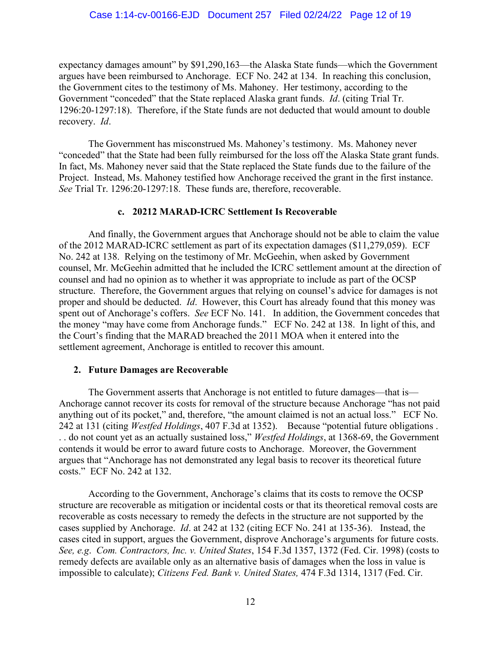expectancy damages amount" by \$91,290,163—the Alaska State funds—which the Government argues have been reimbursed to Anchorage. ECF No. 242 at 134. In reaching this conclusion, the Government cites to the testimony of Ms. Mahoney. Her testimony, according to the Government "conceded" that the State replaced Alaska grant funds. *Id*. (citing Trial Tr. 1296:20-1297:18). Therefore, if the State funds are not deducted that would amount to double recovery. *Id*.

The Government has misconstrued Ms. Mahoney's testimony. Ms. Mahoney never "conceded" that the State had been fully reimbursed for the loss off the Alaska State grant funds. In fact, Ms. Mahoney never said that the State replaced the State funds due to the failure of the Project. Instead, Ms. Mahoney testified how Anchorage received the grant in the first instance. *See* Trial Tr. 1296:20-1297:18. These funds are, therefore, recoverable.

#### **c. 20212 MARAD-ICRC Settlement Is Recoverable**

And finally, the Government argues that Anchorage should not be able to claim the value of the 2012 MARAD-ICRC settlement as part of its expectation damages (\$11,279,059). ECF No. 242 at 138. Relying on the testimony of Mr. McGeehin, when asked by Government counsel, Mr. McGeehin admitted that he included the ICRC settlement amount at the direction of counsel and had no opinion as to whether it was appropriate to include as part of the OCSP structure. Therefore, the Government argues that relying on counsel's advice for damages is not proper and should be deducted. *Id*. However, this Court has already found that this money was spent out of Anchorage's coffers. *See* ECF No. 141. In addition, the Government concedes that the money "may have come from Anchorage funds." ECF No. 242 at 138. In light of this, and the Court's finding that the MARAD breached the 2011 MOA when it entered into the settlement agreement, Anchorage is entitled to recover this amount.

#### **2. Future Damages are Recoverable**

The Government asserts that Anchorage is not entitled to future damages—that is— Anchorage cannot recover its costs for removal of the structure because Anchorage "has not paid anything out of its pocket," and, therefore, "the amount claimed is not an actual loss." ECF No. 242 at 131 (citing *Westfed Holdings*, 407 F.3d at 1352). Because "potential future obligations . . . do not count yet as an actually sustained loss," *Westfed Holdings*, at 1368-69, the Government contends it would be error to award future costs to Anchorage. Moreover, the Government argues that "Anchorage has not demonstrated any legal basis to recover its theoretical future costs." ECF No. 242 at 132.

According to the Government, Anchorage's claims that its costs to remove the OCSP structure are recoverable as mitigation or incidental costs or that its theoretical removal costs are recoverable as costs necessary to remedy the defects in the structure are not supported by the cases supplied by Anchorage. *Id*. at 242 at 132 (citing ECF No. 241 at 135-36). Instead, the cases cited in support, argues the Government, disprove Anchorage's arguments for future costs. *See, e.g*. *Com. Contractors, Inc. v. United States*, 154 F.3d 1357, 1372 (Fed. Cir. 1998) (costs to remedy defects are available only as an alternative basis of damages when the loss in value is impossible to calculate); *Citizens Fed. Bank v. United States,* 474 F.3d 1314, 1317 (Fed. Cir.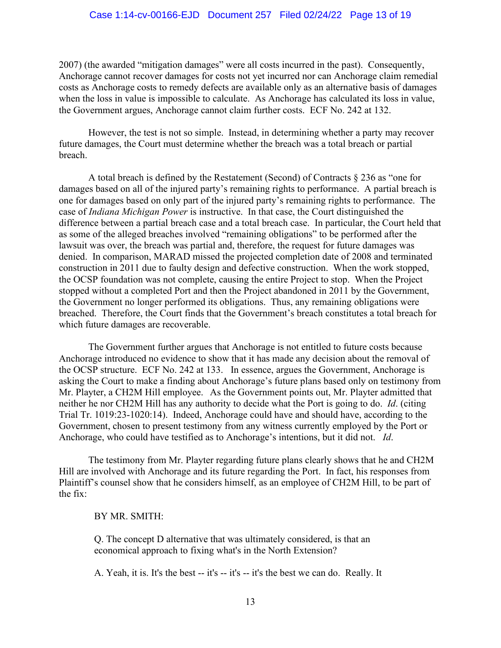#### Case 1:14-cv-00166-EJD Document 257 Filed 02/24/22 Page 13 of 19

2007) (the awarded "mitigation damages" were all costs incurred in the past). Consequently, Anchorage cannot recover damages for costs not yet incurred nor can Anchorage claim remedial costs as Anchorage costs to remedy defects are available only as an alternative basis of damages when the loss in value is impossible to calculate. As Anchorage has calculated its loss in value, the Government argues, Anchorage cannot claim further costs. ECF No. 242 at 132.

However, the test is not so simple. Instead, in determining whether a party may recover future damages, the Court must determine whether the breach was a total breach or partial breach.

A total breach is defined by the Restatement (Second) of Contracts § 236 as "one for damages based on all of the injured party's remaining rights to performance. A partial breach is one for damages based on only part of the injured party's remaining rights to performance. The case of *Indiana Michigan Power* is instructive. In that case, the Court distinguished the difference between a partial breach case and a total breach case. In particular, the Court held that as some of the alleged breaches involved "remaining obligations" to be performed after the lawsuit was over, the breach was partial and, therefore, the request for future damages was denied. In comparison, MARAD missed the projected completion date of 2008 and terminated construction in 2011 due to faulty design and defective construction. When the work stopped, the OCSP foundation was not complete, causing the entire Project to stop. When the Project stopped without a completed Port and then the Project abandoned in 2011 by the Government, the Government no longer performed its obligations. Thus, any remaining obligations were breached. Therefore, the Court finds that the Government's breach constitutes a total breach for which future damages are recoverable.

The Government further argues that Anchorage is not entitled to future costs because Anchorage introduced no evidence to show that it has made any decision about the removal of the OCSP structure. ECF No. 242 at 133. In essence, argues the Government, Anchorage is asking the Court to make a finding about Anchorage's future plans based only on testimony from Mr. Playter, a CH2M Hill employee. As the Government points out, Mr. Playter admitted that neither he nor CH2M Hill has any authority to decide what the Port is going to do. *Id*. (citing Trial Tr. 1019:23-1020:14). Indeed, Anchorage could have and should have, according to the Government, chosen to present testimony from any witness currently employed by the Port or Anchorage, who could have testified as to Anchorage's intentions, but it did not. *Id*.

The testimony from Mr. Playter regarding future plans clearly shows that he and CH2M Hill are involved with Anchorage and its future regarding the Port. In fact, his responses from Plaintiff's counsel show that he considers himself, as an employee of CH2M Hill, to be part of the fix:

#### BY MR. SMITH:

Q. The concept D alternative that was ultimately considered, is that an economical approach to fixing what's in the North Extension?

A. Yeah, it is. It's the best -- it's -- it's -- it's the best we can do. Really. It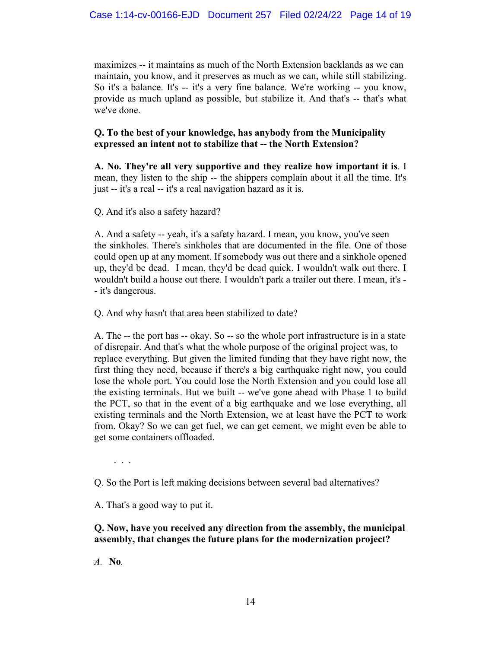maximizes -- it maintains as much of the North Extension backlands as we can maintain, you know, and it preserves as much as we can, while still stabilizing. So it's a balance. It's -- it's a very fine balance. We're working -- you know, provide as much upland as possible, but stabilize it. And that's -- that's what we've done.

# **Q. To the best of your knowledge, has anybody from the Municipality expressed an intent not to stabilize that -- the North Extension?**

**A. No. They're all very supportive and they realize how important it is**. I mean, they listen to the ship -- the shippers complain about it all the time. It's just -- it's a real -- it's a real navigation hazard as it is.

Q. And it's also a safety hazard?

A. And a safety -- yeah, it's a safety hazard. I mean, you know, you've seen the sinkholes. There's sinkholes that are documented in the file. One of those could open up at any moment. If somebody was out there and a sinkhole opened up, they'd be dead. I mean, they'd be dead quick. I wouldn't walk out there. I wouldn't build a house out there. I wouldn't park a trailer out there. I mean, it's - - it's dangerous.

Q. And why hasn't that area been stabilized to date?

A. The -- the port has -- okay. So -- so the whole port infrastructure is in a state of disrepair. And that's what the whole purpose of the original project was, to replace everything. But given the limited funding that they have right now, the first thing they need, because if there's a big earthquake right now, you could lose the whole port. You could lose the North Extension and you could lose all the existing terminals. But we built -- we've gone ahead with Phase 1 to build the PCT, so that in the event of a big earthquake and we lose everything, all existing terminals and the North Extension, we at least have the PCT to work from. Okay? So we can get fuel, we can get cement, we might even be able to get some containers offloaded.

. . .

Q. So the Port is left making decisions between several bad alternatives?

A. That's a good way to put it.

# **Q. Now, have you received any direction from the assembly, the municipal assembly, that changes the future plans for the modernization project?**

*A.* **No***.*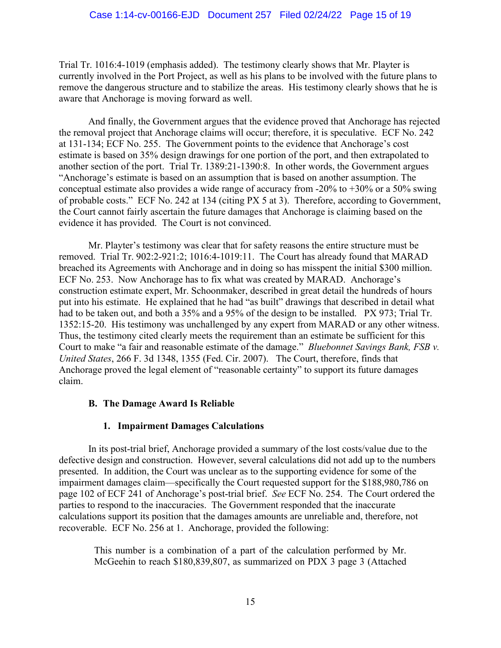Trial Tr. 1016:4-1019 (emphasis added). The testimony clearly shows that Mr. Playter is currently involved in the Port Project, as well as his plans to be involved with the future plans to remove the dangerous structure and to stabilize the areas. His testimony clearly shows that he is aware that Anchorage is moving forward as well.

And finally, the Government argues that the evidence proved that Anchorage has rejected the removal project that Anchorage claims will occur; therefore, it is speculative. ECF No. 242 at 131-134; ECF No. 255. The Government points to the evidence that Anchorage's cost estimate is based on 35% design drawings for one portion of the port, and then extrapolated to another section of the port. Trial Tr. 1389:21-1390:8. In other words, the Government argues "Anchorage's estimate is based on an assumption that is based on another assumption. The conceptual estimate also provides a wide range of accuracy from  $-20\%$  to  $+30\%$  or a 50% swing of probable costs." ECF No. 242 at 134 (citing PX 5 at 3). Therefore, according to Government, the Court cannot fairly ascertain the future damages that Anchorage is claiming based on the evidence it has provided. The Court is not convinced.

Mr. Playter's testimony was clear that for safety reasons the entire structure must be removed. Trial Tr. 902:2-921:2; 1016:4-1019:11. The Court has already found that MARAD breached its Agreements with Anchorage and in doing so has misspent the initial \$300 million. ECF No. 253. Now Anchorage has to fix what was created by MARAD. Anchorage's construction estimate expert, Mr. Schoonmaker, described in great detail the hundreds of hours put into his estimate. He explained that he had "as built" drawings that described in detail what had to be taken out, and both a 35% and a 95% of the design to be installed. PX 973; Trial Tr. 1352:15-20. His testimony was unchallenged by any expert from MARAD or any other witness. Thus, the testimony cited clearly meets the requirement than an estimate be sufficient for this Court to make "a fair and reasonable estimate of the damage." *Bluebonnet Savings Bank, FSB v. United States*, 266 F. 3d 1348, 1355 (Fed. Cir. 2007). The Court, therefore, finds that Anchorage proved the legal element of "reasonable certainty" to support its future damages claim.

# **B. The Damage Award Is Reliable**

# **1. Impairment Damages Calculations**

In its post-trial brief, Anchorage provided a summary of the lost costs/value due to the defective design and construction. However, several calculations did not add up to the numbers presented. In addition, the Court was unclear as to the supporting evidence for some of the impairment damages claim—specifically the Court requested support for the \$188,980,786 on page 102 of ECF 241 of Anchorage's post-trial brief. *See* ECF No. 254. The Court ordered the parties to respond to the inaccuracies. The Government responded that the inaccurate calculations support its position that the damages amounts are unreliable and, therefore, not recoverable. ECF No. 256 at 1. Anchorage, provided the following:

This number is a combination of a part of the calculation performed by Mr. McGeehin to reach \$180,839,807, as summarized on PDX 3 page 3 (Attached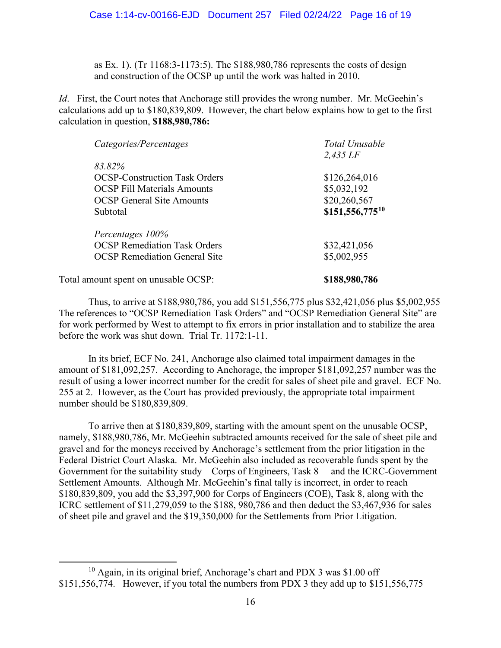as Ex. 1). (Tr 1168:3-1173:5). The \$188,980,786 represents the costs of design and construction of the OCSP up until the work was halted in 2010.

*Id.* First, the Court notes that Anchorage still provides the wrong number. Mr. McGeehin's calculations add up to \$180,839,809. However, the chart below explains how to get to the first calculation in question, **\$188,980,786:** 

| Categories/Percentages               | Total Unusable<br>$2,435$ LF |
|--------------------------------------|------------------------------|
| 83.82%                               |                              |
| <b>OCSP-Construction Task Orders</b> | \$126,264,016                |
| <b>OCSP</b> Fill Materials Amounts   | \$5,032,192                  |
| <b>OCSP</b> General Site Amounts     | \$20,260,567                 |
| Subtotal                             | \$151,556,77510              |
| Percentages 100%                     |                              |
| <b>OCSP</b> Remediation Task Orders  | \$32,421,056                 |
| <b>OCSP</b> Remediation General Site | \$5,002,955                  |
| Total amount spent on unusable OCSP: | \$188,980,786                |

Thus, to arrive at \$188,980,786, you add \$151,556,775 plus \$32,421,056 plus \$5,002,955 The references to "OCSP Remediation Task Orders" and "OCSP Remediation General Site" are for work performed by West to attempt to fix errors in prior installation and to stabilize the area before the work was shut down. Trial Tr. 1172:1-11.

In its brief, ECF No. 241, Anchorage also claimed total impairment damages in the amount of \$181,092,257. According to Anchorage, the improper \$181,092,257 number was the result of using a lower incorrect number for the credit for sales of sheet pile and gravel. ECF No. 255 at 2. However, as the Court has provided previously, the appropriate total impairment number should be \$180,839,809.

To arrive then at \$180,839,809, starting with the amount spent on the unusable OCSP, namely, \$188,980,786, Mr. McGeehin subtracted amounts received for the sale of sheet pile and gravel and for the moneys received by Anchorage's settlement from the prior litigation in the Federal District Court Alaska. Mr. McGeehin also included as recoverable funds spent by the Government for the suitability study—Corps of Engineers, Task 8— and the ICRC-Government Settlement Amounts. Although Mr. McGeehin's final tally is incorrect, in order to reach \$180,839,809, you add the \$3,397,900 for Corps of Engineers (COE), Task 8, along with the ICRC settlement of \$11,279,059 to the \$188, 980,786 and then deduct the \$3,467,936 for sales of sheet pile and gravel and the \$19,350,000 for the Settlements from Prior Litigation.

<span id="page-15-0"></span><sup>&</sup>lt;sup>10</sup> Again, in its original brief, Anchorage's chart and PDX 3 was \$1.00 off — \$151,556,774. However, if you total the numbers from PDX 3 they add up to \$151,556,775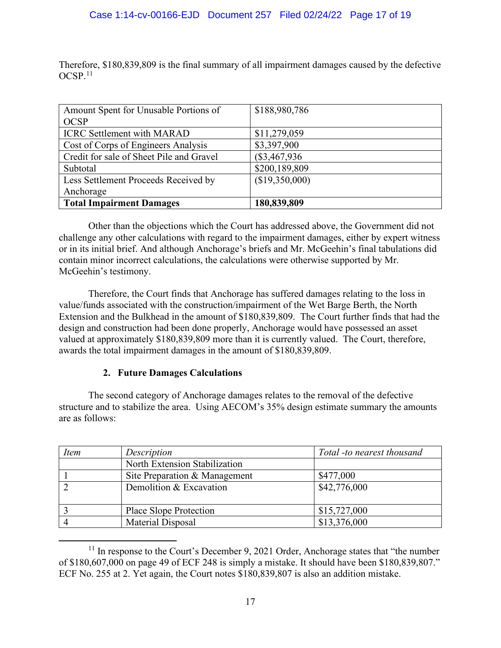Therefore, \$180,839,809 is the final summary of all impairment damages caused by the defective  $OCSP<sub>11</sub>$  $OCSP<sub>11</sub>$  $OCSP<sub>11</sub>$ 

| Amount Spent for Unusable Portions of    | \$188,980,786  |
|------------------------------------------|----------------|
| <b>OCSP</b>                              |                |
| <b>ICRC Settlement with MARAD</b>        | \$11,279,059   |
| Cost of Corps of Engineers Analysis      | \$3,397,900    |
| Credit for sale of Sheet Pile and Gravel | $(\$3,467,936$ |
| Subtotal                                 | \$200,189,809  |
| Less Settlement Proceeds Received by     | (\$19,350,000) |
| Anchorage                                |                |
| <b>Total Impairment Damages</b>          | 180,839,809    |

Other than the objections which the Court has addressed above, the Government did not challenge any other calculations with regard to the impairment damages, either by expert witness or in its initial brief. And although Anchorage's briefs and Mr. McGeehin's final tabulations did contain minor incorrect calculations, the calculations were otherwise supported by Mr. McGeehin's testimony.

Therefore, the Court finds that Anchorage has suffered damages relating to the loss in value/funds associated with the construction/impairment of the Wet Barge Berth, the North Extension and the Bulkhead in the amount of \$180,839,809. The Court further finds that had the design and construction had been done properly, Anchorage would have possessed an asset valued at approximately \$180,839,809 more than it is currently valued. The Court, therefore, awards the total impairment damages in the amount of \$180,839,809.

# **2. Future Damages Calculations**

The second category of Anchorage damages relates to the removal of the defective structure and to stabilize the area. Using AECOM's 35% design estimate summary the amounts are as follows:

| <i>Item</i> | Description                   | Total -to nearest thousand |
|-------------|-------------------------------|----------------------------|
|             | North Extension Stabilization |                            |
|             | Site Preparation & Management | \$477,000                  |
|             | Demolition & Excavation       | \$42,776,000               |
|             | Place Slope Protection        | \$15,727,000               |
|             | Material Disposal             | \$13,376,000               |

<span id="page-16-0"></span> $11$  In response to the Court's December 9, 2021 Order, Anchorage states that "the number" of \$180,607,000 on page 49 of ECF 248 is simply a mistake. It should have been \$180,839,807." ECF No. 255 at 2. Yet again, the Court notes \$180,839,807 is also an addition mistake.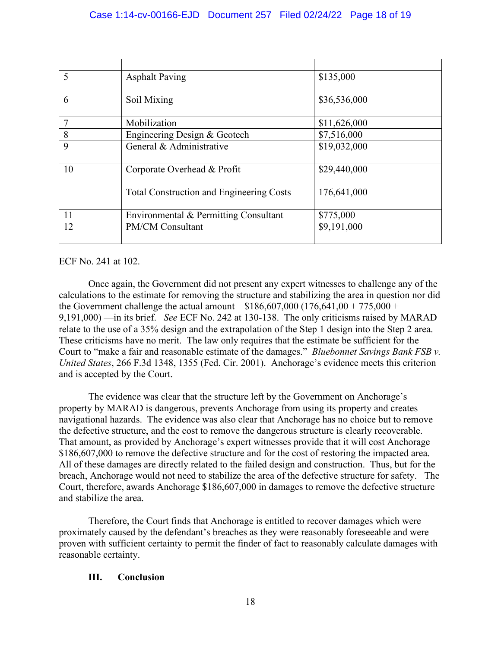| 5              | <b>Asphalt Paving</b>                           | \$135,000    |
|----------------|-------------------------------------------------|--------------|
|                |                                                 |              |
| 6              | Soil Mixing                                     | \$36,536,000 |
|                |                                                 |              |
| $\overline{7}$ | Mobilization                                    | \$11,626,000 |
| 8              | Engineering Design & Geotech                    | \$7,516,000  |
| 9              | General & Administrative                        | \$19,032,000 |
|                |                                                 |              |
| 10             | Corporate Overhead & Profit                     | \$29,440,000 |
|                |                                                 |              |
|                | <b>Total Construction and Engineering Costs</b> | 176,641,000  |
|                |                                                 |              |
| 11             | Environmental & Permitting Consultant           | \$775,000    |
| 12             | <b>PM/CM Consultant</b>                         | \$9,191,000  |
|                |                                                 |              |

#### ECF No. 241 at 102.

Once again, the Government did not present any expert witnesses to challenge any of the calculations to the estimate for removing the structure and stabilizing the area in question nor did the Government challenge the actual amount— $$186,607,000$  (176,641,00 + 775,000 + 9,191,000) —in its brief. *See* ECF No. 242 at 130-138. The only criticisms raised by MARAD relate to the use of a 35% design and the extrapolation of the Step 1 design into the Step 2 area. These criticisms have no merit. The law only requires that the estimate be sufficient for the Court to "make a fair and reasonable estimate of the damages." *Bluebonnet Savings Bank FSB v. United States*, 266 F.3d 1348, 1355 (Fed. Cir. 2001). Anchorage's evidence meets this criterion and is accepted by the Court.

The evidence was clear that the structure left by the Government on Anchorage's property by MARAD is dangerous, prevents Anchorage from using its property and creates navigational hazards. The evidence was also clear that Anchorage has no choice but to remove the defective structure, and the cost to remove the dangerous structure is clearly recoverable. That amount, as provided by Anchorage's expert witnesses provide that it will cost Anchorage \$186,607,000 to remove the defective structure and for the cost of restoring the impacted area. All of these damages are directly related to the failed design and construction. Thus, but for the breach, Anchorage would not need to stabilize the area of the defective structure for safety. The Court, therefore, awards Anchorage \$186,607,000 in damages to remove the defective structure and stabilize the area.

Therefore, the Court finds that Anchorage is entitled to recover damages which were proximately caused by the defendant's breaches as they were reasonably foreseeable and were proven with sufficient certainty to permit the finder of fact to reasonably calculate damages with reasonable certainty.

#### **III. Conclusion**